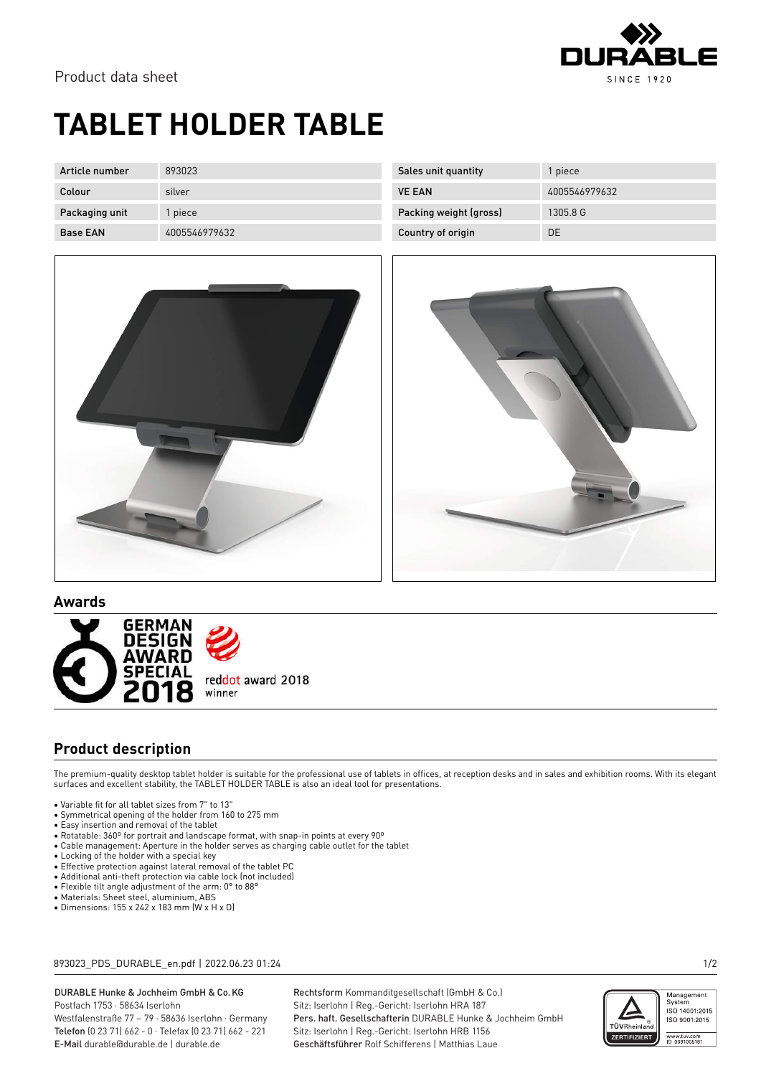

## **TABLET HOLDER TABLE**

| Article number  | 893023        | Sales unit quantity    | 1 piece       |
|-----------------|---------------|------------------------|---------------|
| Colour          | silver        | <b>VE EAN</b>          | 4005546979632 |
| Packaging unit  | piece         | Packing weight (gross) | 1305.8 G      |
| <b>Base EAN</b> | 4005546979632 | Country of origin      | DE            |





**Awards**



### **Product description**

The premium-quality desktop tablet holder is suitable for the professional use of tablets in offices, at reception desks and in sales and exhibition rooms. With its elegant surfaces and excellent stability, the TABLET HOLDER TABLE is also an ideal tool for presentations.

- Variable fit for all tablet sizes from 7" to 13"
- Symmetrical opening of the holder from 160 to 275 mm
- Easy insertion and removal of the tablet
- Rotatable: 360º for portrait and landscape format, with snap-in points at every 90º • Cable management: Aperture in the holder serves as charging cable outlet for the tablet
- 
- Locking of the holder with a special key
- Effective protection against lateral removal of the tablet PC
- Additional anti-theft protection via cable lock (not included) • Flexible tilt angle adjustment of the arm: 0° to 88°
- Materials: Sheet steel, aluminium, ABS
- Dimensions: 155 x 242 x 183 mm (W x H x D)

893023\_PDS\_DURABLE\_en.pdf | 2022.06.23 01:24 1/2

DURABLE Hunke & Jochheim GmbH & Co.KG Postfach 1753 · 58634 Iserlohn Westfalenstraße 77 – 79 · 58636 Iserlohn · Germany Telefon (0 23 71) 662 - 0 · Telefax (0 23 71) 662 - 221

E-Mail durable@durable.de | durable.de

Rechtsform Kommanditgesellschaft (GmbH & Co.) Sitz: Iserlohn | Reg.-Gericht: Iserlohn HRA 187 Pers. haft. Gesellschafterin DURABLE Hunke & Jochheim GmbH Sitz: Iserlohn | Reg.-Gericht: Iserlohn HRB 1156 Geschäftsführer Rolf Schifferens | Matthias Laue